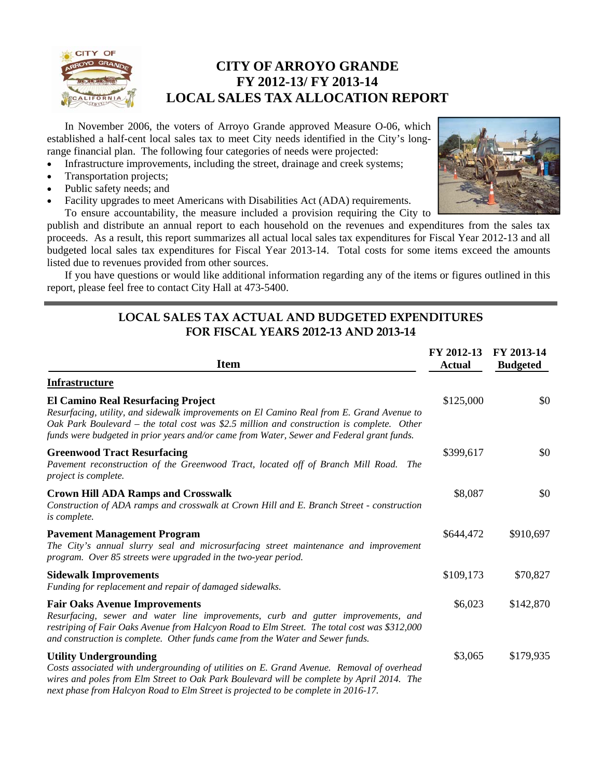

## **CITY OF ARROYO GRANDE FY 2012-13/ FY 2013-14 LOCAL SALES TAX ALLOCATION REPORT**

 In November 2006, the voters of Arroyo Grande approved Measure O-06, which established a half-cent local sales tax to meet City needs identified in the City's longrange financial plan. The following four categories of needs were projected:

- Infrastructure improvements, including the street, drainage and creek systems;
- Transportation projects;
- Public safety needs; and
- Facility upgrades to meet Americans with Disabilities Act (ADA) requirements.



 To ensure accountability, the measure included a provision requiring the City to publish and distribute an annual report to each household on the revenues and expenditures from the sales tax proceeds. As a result, this report summarizes all actual local sales tax expenditures for Fiscal Year 2012-13 and all budgeted local sales tax expenditures for Fiscal Year 2013-14. Total costs for some items exceed the amounts listed due to revenues provided from other sources.

 If you have questions or would like additional information regarding any of the items or figures outlined in this report, please feel free to contact City Hall at 473-5400.

## **LOCAL SALES TAX ACTUAL AND BUDGETED EXPENDITURES FOR FISCAL YEARS 2012-13 AND 2013-14**

| <b>Item</b>                                                                                                                                                                                                                                                                                                                      | FY 2012-13<br><b>Actual</b> | FY 2013-14<br><b>Budgeted</b> |
|----------------------------------------------------------------------------------------------------------------------------------------------------------------------------------------------------------------------------------------------------------------------------------------------------------------------------------|-----------------------------|-------------------------------|
| <b>Infrastructure</b>                                                                                                                                                                                                                                                                                                            |                             |                               |
| <b>El Camino Real Resurfacing Project</b><br>Resurfacing, utility, and sidewalk improvements on El Camino Real from E. Grand Avenue to<br>Oak Park Boulevard – the total cost was \$2.5 million and construction is complete. Other<br>funds were budgeted in prior years and/or came from Water, Sewer and Federal grant funds. | \$125,000                   | \$0                           |
| <b>Greenwood Tract Resurfacing</b><br>Pavement reconstruction of the Greenwood Tract, located off of Branch Mill Road. The<br>project is complete.                                                                                                                                                                               | \$399,617                   | \$0                           |
| <b>Crown Hill ADA Ramps and Crosswalk</b><br>Construction of ADA ramps and crosswalk at Crown Hill and E. Branch Street - construction<br>is complete.                                                                                                                                                                           | \$8,087                     | \$0                           |
| <b>Pavement Management Program</b><br>The City's annual slurry seal and microsurfacing street maintenance and improvement<br>program. Over 85 streets were upgraded in the two-year period.                                                                                                                                      | \$644,472                   | \$910,697                     |
| <b>Sidewalk Improvements</b><br>Funding for replacement and repair of damaged sidewalks.                                                                                                                                                                                                                                         | \$109,173                   | \$70,827                      |
| <b>Fair Oaks Avenue Improvements</b><br>Resurfacing, sewer and water line improvements, curb and gutter improvements, and<br>restriping of Fair Oaks Avenue from Halcyon Road to Elm Street. The total cost was \$312,000<br>and construction is complete. Other funds came from the Water and Sewer funds.                      | \$6,023                     | \$142,870                     |
| <b>Utility Undergrounding</b><br>Costs associated with undergrounding of utilities on E. Grand Avenue. Removal of overhead<br>wires and poles from Elm Street to Oak Park Boulevard will be complete by April 2014. The<br>next phase from Halcyon Road to Elm Street is projected to be complete in 2016-17.                    | \$3,065                     | \$179,935                     |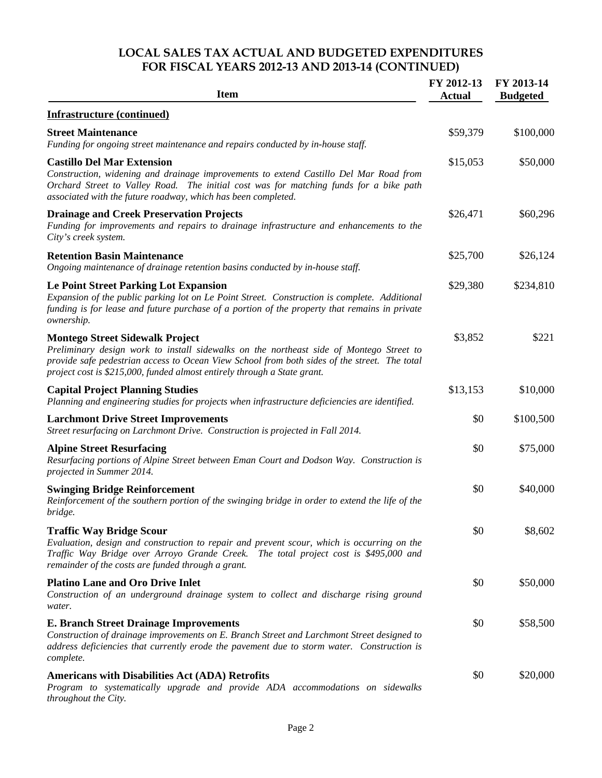## **LOCAL SALES TAX ACTUAL AND BUDGETED EXPENDITURES FOR FISCAL YEARS 2012-13 AND 2013-14 (CONTINUED)**

| <b>Item</b>                                                                                                                                                                                                                                                                                                   | FY 2012-13<br><b>Actual</b> | FY 2013-14<br><b>Budgeted</b> |
|---------------------------------------------------------------------------------------------------------------------------------------------------------------------------------------------------------------------------------------------------------------------------------------------------------------|-----------------------------|-------------------------------|
| <b>Infrastructure (continued)</b>                                                                                                                                                                                                                                                                             |                             |                               |
| <b>Street Maintenance</b><br>Funding for ongoing street maintenance and repairs conducted by in-house staff.                                                                                                                                                                                                  | \$59,379                    | \$100,000                     |
| <b>Castillo Del Mar Extension</b><br>Construction, widening and drainage improvements to extend Castillo Del Mar Road from<br>Orchard Street to Valley Road. The initial cost was for matching funds for a bike path<br>associated with the future roadway, which has been completed.                         | \$15,053                    | \$50,000                      |
| <b>Drainage and Creek Preservation Projects</b><br>Funding for improvements and repairs to drainage infrastructure and enhancements to the<br>City's creek system.                                                                                                                                            | \$26,471                    | \$60,296                      |
| <b>Retention Basin Maintenance</b><br>Ongoing maintenance of drainage retention basins conducted by in-house staff.                                                                                                                                                                                           | \$25,700                    | \$26,124                      |
| <b>Le Point Street Parking Lot Expansion</b><br>Expansion of the public parking lot on Le Point Street. Construction is complete. Additional<br>funding is for lease and future purchase of a portion of the property that remains in private<br>ownership.                                                   | \$29,380                    | \$234,810                     |
| <b>Montego Street Sidewalk Project</b><br>Preliminary design work to install sidewalks on the northeast side of Montego Street to<br>provide safe pedestrian access to Ocean View School from both sides of the street. The total<br>project cost is \$215,000, funded almost entirely through a State grant. | \$3,852                     | \$221                         |
| <b>Capital Project Planning Studies</b><br>Planning and engineering studies for projects when infrastructure deficiencies are identified.                                                                                                                                                                     | \$13,153                    | \$10,000                      |
| <b>Larchmont Drive Street Improvements</b><br>Street resurfacing on Larchmont Drive. Construction is projected in Fall 2014.                                                                                                                                                                                  | \$0                         | \$100,500                     |
| <b>Alpine Street Resurfacing</b><br>Resurfacing portions of Alpine Street between Eman Court and Dodson Way. Construction is<br>projected in Summer 2014.                                                                                                                                                     | \$0                         | \$75,000                      |
| <b>Swinging Bridge Reinforcement</b><br>Reinforcement of the southern portion of the swinging bridge in order to extend the life of the<br>bridge.                                                                                                                                                            | \$0                         | \$40,000                      |
| <b>Traffic Way Bridge Scour</b><br>Evaluation, design and construction to repair and prevent scour, which is occurring on the<br>Traffic Way Bridge over Arroyo Grande Creek. The total project cost is \$495,000 and<br>remainder of the costs are funded through a grant.                                   | \$0                         | \$8,602                       |
| <b>Platino Lane and Oro Drive Inlet</b><br>Construction of an underground drainage system to collect and discharge rising ground<br>water.                                                                                                                                                                    | \$0                         | \$50,000                      |
| <b>E. Branch Street Drainage Improvements</b><br>Construction of drainage improvements on E. Branch Street and Larchmont Street designed to<br>address deficiencies that currently erode the pavement due to storm water. Construction is<br>complete.                                                        | \$0                         | \$58,500                      |
| <b>Americans with Disabilities Act (ADA) Retrofits</b><br>Program to systematically upgrade and provide ADA accommodations on sidewalks<br>throughout the City.                                                                                                                                               | \$0                         | \$20,000                      |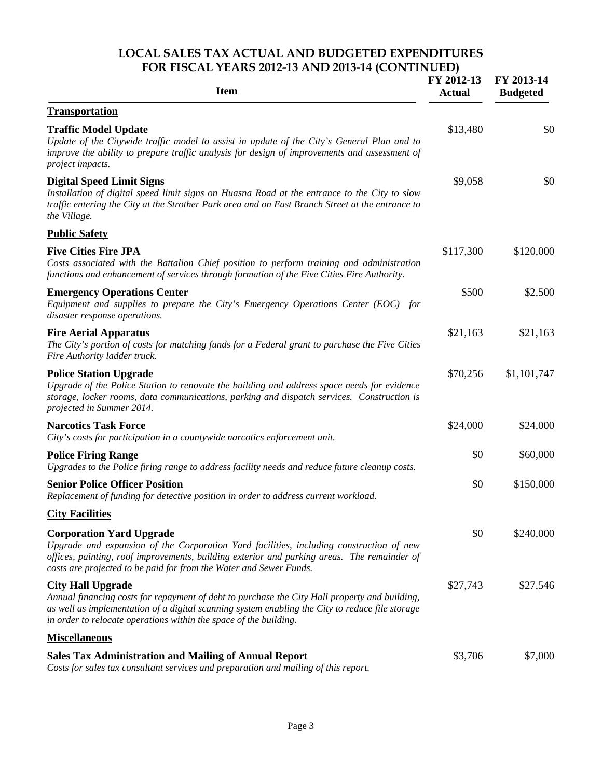#### **LOCAL SALES TAX ACTUAL AND BUDGETED EXPENDITURES FOR FISCAL YEARS 2012-13 AND 2013-14 (CONTINUED)**

| <b>Item</b>                                                                                                                                                                                                                                                                                       | FY 2012-13<br><b>Actual</b> | FY 2013-14<br><b>Budgeted</b> |
|---------------------------------------------------------------------------------------------------------------------------------------------------------------------------------------------------------------------------------------------------------------------------------------------------|-----------------------------|-------------------------------|
| <b>Transportation</b>                                                                                                                                                                                                                                                                             |                             |                               |
| <b>Traffic Model Update</b><br>Update of the Citywide traffic model to assist in update of the City's General Plan and to<br>improve the ability to prepare traffic analysis for design of improvements and assessment of<br>project impacts.                                                     | \$13,480                    | \$0                           |
| <b>Digital Speed Limit Signs</b><br>Installation of digital speed limit signs on Huasna Road at the entrance to the City to slow<br>traffic entering the City at the Strother Park area and on East Branch Street at the entrance to<br>the Village.                                              | \$9,058                     | \$0                           |
| <b>Public Safety</b>                                                                                                                                                                                                                                                                              |                             |                               |
| <b>Five Cities Fire JPA</b><br>Costs associated with the Battalion Chief position to perform training and administration<br>functions and enhancement of services through formation of the Five Cities Fire Authority.                                                                            | \$117,300                   | \$120,000                     |
| <b>Emergency Operations Center</b><br>Equipment and supplies to prepare the City's Emergency Operations Center (EOC) for<br>disaster response operations.                                                                                                                                         | \$500                       | \$2,500                       |
| <b>Fire Aerial Apparatus</b><br>The City's portion of costs for matching funds for a Federal grant to purchase the Five Cities<br>Fire Authority ladder truck.                                                                                                                                    | \$21,163                    | \$21,163                      |
| <b>Police Station Upgrade</b><br>Upgrade of the Police Station to renovate the building and address space needs for evidence<br>storage, locker rooms, data communications, parking and dispatch services. Construction is<br>projected in Summer 2014.                                           | \$70,256                    | \$1,101,747                   |
| <b>Narcotics Task Force</b><br>City's costs for participation in a countywide narcotics enforcement unit.                                                                                                                                                                                         | \$24,000                    | \$24,000                      |
| <b>Police Firing Range</b><br>Upgrades to the Police firing range to address facility needs and reduce future cleanup costs.                                                                                                                                                                      | \$0                         | \$60,000                      |
| <b>Senior Police Officer Position</b><br>Replacement of funding for detective position in order to address current workload.                                                                                                                                                                      | \$0                         | \$150,000                     |
| <b>City Facilities</b>                                                                                                                                                                                                                                                                            |                             |                               |
| <b>Corporation Yard Upgrade</b><br>Upgrade and expansion of the Corporation Yard facilities, including construction of new<br>offices, painting, roof improvements, building exterior and parking areas. The remainder of<br>costs are projected to be paid for from the Water and Sewer Funds.   | \$0                         | \$240,000                     |
| <b>City Hall Upgrade</b><br>Annual financing costs for repayment of debt to purchase the City Hall property and building,<br>as well as implementation of a digital scanning system enabling the City to reduce file storage<br>in order to relocate operations within the space of the building. | \$27,743                    | \$27,546                      |
| <b>Miscellaneous</b>                                                                                                                                                                                                                                                                              |                             |                               |
| <b>Sales Tax Administration and Mailing of Annual Report</b><br>Costs for sales tax consultant services and preparation and mailing of this report.                                                                                                                                               | \$3,706                     | \$7,000                       |